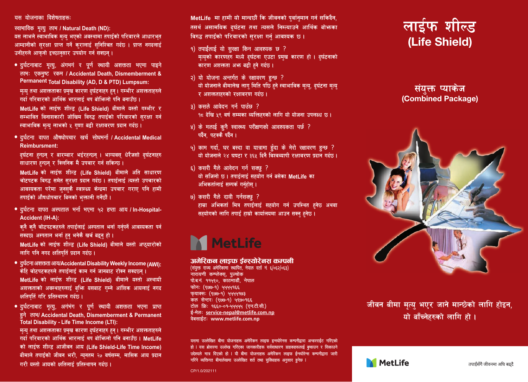## यस योजनाका विशेषताहरू

स्वाभाविक मृत्यु लाभ / Natural Death (ND) यस लाभले स्वाभाविक मन्य भएको अवस्थामा तपार्दको परिवारले आधारभत आम्दानीको सरक्षा प्राप्त गर्ने करालाई सनिश्चित गर्दछ । प्राप्त नगढलाई उनीहरुले आफनो इच्छानसार उपयोग गर्न सक्छन।

- दुर्घटनाबाट मृत्यू, अंगभगं र पूर्ण स्थायी अशक्तता भएमा पाइने लाभ: एकमुष्ट रकम / Accidental Death, Dismemberment & Permanent Total Disability (AD, D & PTD) Lumpsum: मत्य तथा अशक्तताका प्रमख कारण दर्घटनाहरु हन । गम्भीर अशक्तताहरुले गर्दा परिवारको आर्थिक भारलाई थप बोभिन्नो पनि बनाउँछ । Motlife को लार्दफ शील्ड (Life Shield) बीमाले यस्तो गम्भीर र सम्भावित विनाशकारी जोखिम विरुद्ध तपाईको परिवारको सरक्षा गर्न स्वाभाविक मत्य लाभको ५ गणा बढी रक्षावरण प्रदान गर्दछ।
- · दर्घटना वापत औषधोपचार खर्च सोधभर्ना / Accidental Medical **Reimbursment:**

दर्घटना हन्छन र बारम्बार भईरहन्छन । भाग्यवस धेरैजसो दर्घटनाहरु साधारण हुन्छन् र क्लिनिक मै उपचार गर्न सकिन्छ।

MetLife को लाईफ शील्ड (Life Shield) बीमाले अति साधारण चोटपटक विरुद्ध समेत सरक्षा पदान गर्दछ । तपार्दलार्द त्यस्तो उपचारको आवश्यकता परेमा जनसकै स्वास्थ्य केन्द्रमा उपचार गराए पनि हामी तपाइँको औषधोपचार बिलको भक्तानी गर्नेछौं।

• दर्घटना वापत अस्पताल भर्ना भएमा ५२ हप्ता आय। In-Hospital-Accident (IH-A):

कनै कनै चोटपटकहरुले तपार्दलार्द अस्पताल भर्ता गर्नपर्ने आवश्यकता पर्न सक्दछ। अस्पताल भर्ना हुन भनेकै खर्च बढ़न हो।

MetLife को लाईफ शील्ड (Life Shield) बीमाले यस्तो अछयारोको लागि पनि नगद क्षतिपतिं प्रदान गर्दछ।

- दर्घटना अशक्तता आय/Accidental Disability Weekly Income (AWI) केहि चोटपटकहरुले तपाईलाई काम गर्न जानबाट रोक्न सक्दछन्। MetLife को लाईफ शील्ड (Life Shield) बीमाले यस्तो अस्थायी अशक्तताको अवस्थाहरुलाई बश्कि यसबाट गम्ने आंशिक आयलाई नगद क्षतिपतिं गरि प्रतिस्थापन गर्दछ।
- दुर्घटनाबाट मृत्यू, अगंभंग र पूर्ण स्थायी अशक्तता भएमा प्राप्त हने लाभ/ Accidental Death, Dismemberment & Permanent Total Disability - Life Time Income (LTI):

मत्य तथा अशक्तताका प्रमख कारण दर्घटनाहरु हन । गम्भीर अशक्तताहरुले गर्दा परिवारको आर्थिक भारलाई थप बोभिन्लो पनि बनाउँछ। MetLife को लाईफ शील्ड आजीवन आय (Life Shield-Life Time Income) बीमाले तपाईको जीवन भरी, न्यनतम २० वर्षसम्म, मासिक आय प्रदान गारी गढ़ने भगाको अधिवार्य प्रविद्यापन गर्यछ ।

MetLife मा हामी यो मान्द्रकों कि जीवनको पर्वानमान गर्न सकिदैन. तसर्थ असामयिक दर्घटना तथा त्यसले निम्त्याउने आर्थिक बोभन्का विरुद्ध तपार्दको परिवारको सरक्षा गर्न आवश्यक छ ।

- $9)$  तपाईँलाई यो सरक्षा किन आवश्यक छ ? मृत्युको कारणहरु मध्ये दुर्घटना एउटा प्रमुख कारण हो । दुर्घटनाको कारण अशक्तता अभ्रु बढी हुने गर्दछ ।
- २) यो योजना अन्तर्गत के रक्षावरण हुन्छ ? यो योजनाले बीमालेख लाग मिति पछि हने स्वाभाविक मत्य, दर्घटना मत्य र अशक्तताहरुको रक्षाबरण गर्दछ।
- $3)$  कसले आवेदन गर्न पाउँछ ? १८ देखि ५९ वर्ष सम्मका व्यक्तिहरुको लागि यो योजना उपलब्ध छ।
- $x$ ) के मलार्द कनै स्वास्थ्य परीक्षणको आवश्यकता पर्छ ? पर्दैन, पटककै पर्दैन ।
- ५) काम गर्दा, घर बस्दा वा यात्रामा हुँदा के मेरो रक्षावरण हुन्छ ? यो योजनाले २४ घण्टा र ३६५ दिनै विश्वव्यापी रक्षावरण पटान गर्दछ ।
- ६) कसरी मैले आवेदन गर्न सक्छ ? यो सजिलो छ। तपाईलाई सहयोग गर्न बसेका MetLife का अभिकर्तालार्द सम्पर्क गर्नहोस ।
- ७) कसरी मैले दावी गर्नसक्छ ?

हाम्रा अभिकर्ता मित्र तपाइंलाई सहयोग गर्न उपस्थित हनेछ अथवा सहयोगको लागि तपार्द हामो कार्यालयमा आउत सक्त हतेक ।



## अमेरिकन लाइफ ईन्स्योरेनस कम्पनी

सियन राज्य अमेरिकामा स्थापित नेपाल दर्ता ने ६/०६२/०६९) नारायणी कम्प्लेक्स पत्न्वोक् पोबन १९५९० कातमाडौं नेपाल फोनः (९७७-१) ५५५५१६६ फयाक्स: (१९९०-१) पंपपंपशावत केल सेन्टर: (१७७-१) ५१७०१६६ तोल फि॰ १६६०-०१-५५५५५ (एसतीसी) ई-मेल: service-nepal@metlife.com.nn वेबसाईटः www.metlife.com.np

यसमा सल्लेखित बीमा योजनावरू अमेरिकन लावक व्रन्स्योरेनस कम्पनीदारा अन्वररार्वतः गरिएको हो । यस बोसरमा उत्लेख गरिएका जानकारीहरू सर्वसाधारण ग्राहकहरूलाई ब्रूकाउन र सिकाउने उद्देश्यले मात्र दिएको हो । यी बीमा योजनाहरू अमेरिकन लाइफ ईन्स्योरेन्स कम्पनीद्वारा जारी गरिने व्यक्तिगत बीमालेखमा सल्लेखित शर्त तथा सविधाहरू अनसार हुनेछ ।

## लार्डफ शील्ड (Life Shield)

संयक्त प्याकेज (Combined Package)



जीवन बीमा मत्य भएर जाने मान्छेको लागि होइन. यो बाँच्नेहरुको लागि हो ।